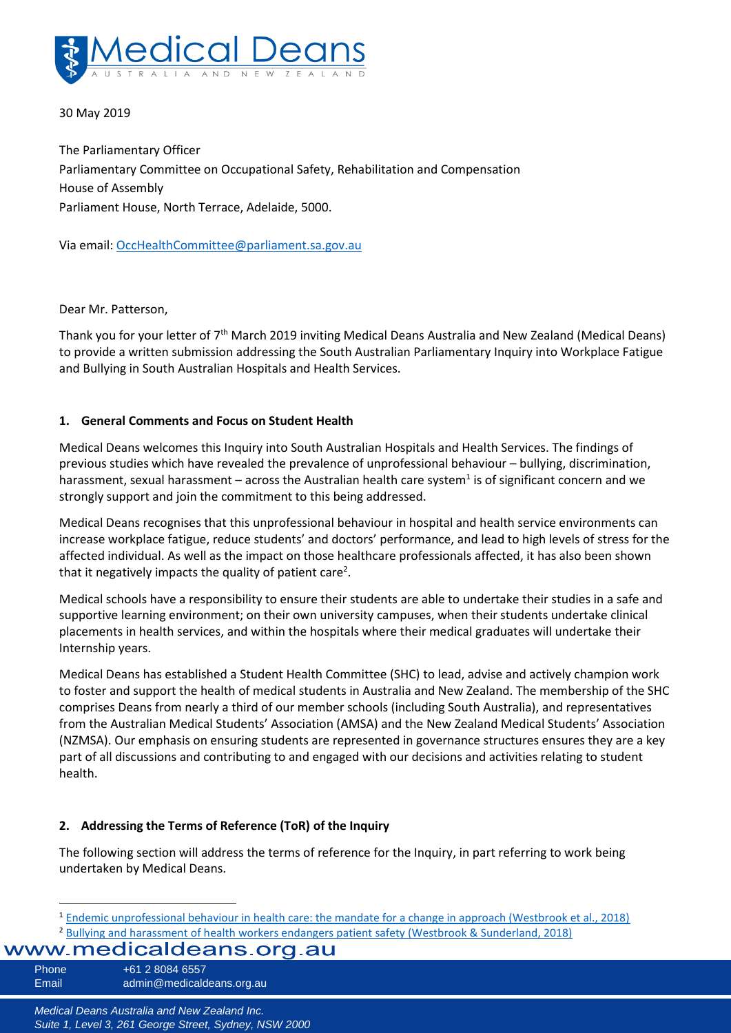

### 30 May 2019

The Parliamentary Officer Parliamentary Committee on Occupational Safety, Rehabilitation and Compensation House of Assembly Parliament House, North Terrace, Adelaide, 5000.

Via email[: OccHealthCommittee@parliament.sa.gov.au](mailto:OccHealthCommittee@parliament.sa.gov.au)

Dear Mr. Patterson,

Thank you for your letter of 7th March 2019 inviting Medical Deans Australia and New Zealand (Medical Deans) to provide a written submission addressing the South Australian Parliamentary Inquiry into Workplace Fatigue and Bullying in South Australian Hospitals and Health Services.

### **1. General Comments and Focus on Student Health**

Medical Deans welcomes this Inquiry into South Australian Hospitals and Health Services. The findings of previous studies which have revealed the prevalence of unprofessional behaviour – bullying, discrimination, harassment, sexual harassment – across the Australian health care system<sup>1</sup> is of significant concern and we strongly support and join the commitment to this being addressed.

Medical Deans recognises that this unprofessional behaviour in hospital and health service environments can increase workplace fatigue, reduce students' and doctors' performance, and lead to high levels of stress for the affected individual. As well as the impact on those healthcare professionals affected, it has also been shown that it negatively impacts the quality of patient care<sup>2</sup>.

Medical schools have a responsibility to ensure their students are able to undertake their studies in a safe and supportive learning environment; on their own university campuses, when their students undertake clinical placements in health services, and within the hospitals where their medical graduates will undertake their Internship years.

Medical Deans has established a Student Health Committee (SHC) to lead, advise and actively champion work to foster and support the health of medical students in Australia and New Zealand. The membership of the SHC comprises Deans from nearly a third of our member schools (including South Australia), and representatives from the Australian Medical Students' Association (AMSA) and the New Zealand Medical Students' Association (NZMSA). Our emphasis on ensuring students are represented in governance structures ensures they are a key part of all discussions and contributing to and engaged with our decisions and activities relating to student health.

### **2. Addressing the Terms of Reference (ToR) of the Inquiry**

The following section will address the terms of reference for the Inquiry, in part referring to work being undertaken by Medical Deans.

Phone +61 2 8084 6557 Email admin@medicaldeans.org.au

<sup>&</sup>lt;sup>2</sup> [Bullying and harassment of health workers endangers patient safety \(Westbrook & Sunderland, 2018\)](https://theconversation.com/bullying-and-harassment-of-health-workers-endangers-patient-safety-106167) <sup>1</sup> [Endemic unprofessional behaviour in health care: the mandate for a change in approach \(Westbrook et al., 2018\)](https://www.mja.com.au/journal/2018/209/9/endemic-unprofessional-behaviour-health-care-mandate-change-approach)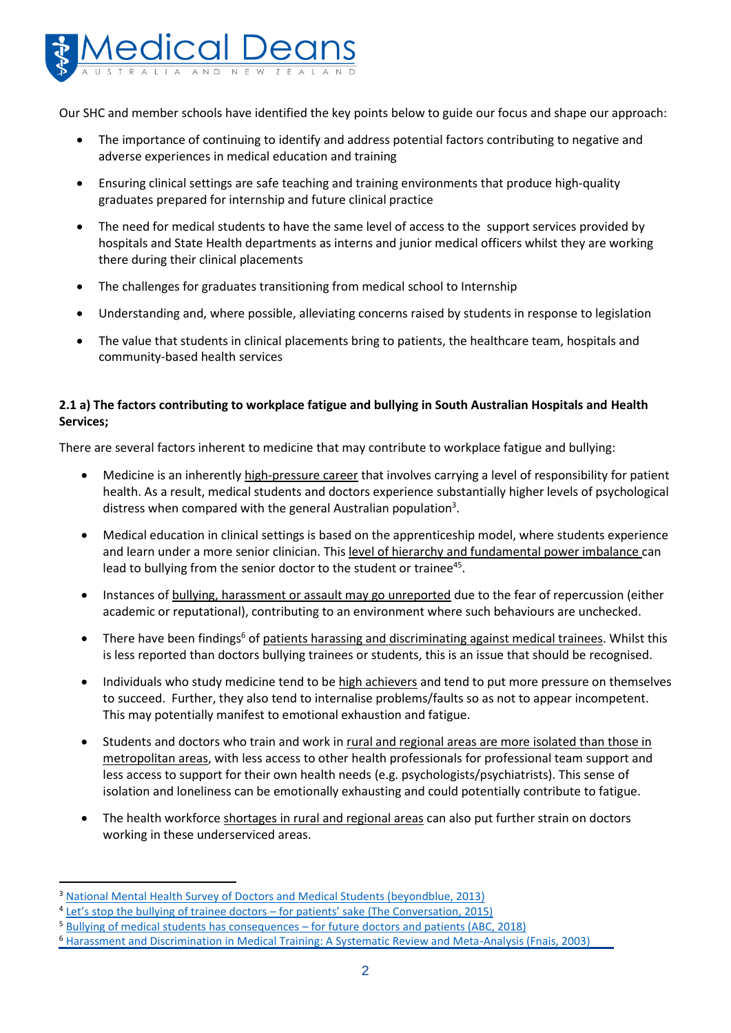

Our SHC and member schools have identified the key points below to guide our focus and shape our approach:

- The importance of continuing to identify and address potential factors contributing to negative and adverse experiences in medical education and training
- Ensuring clinical settings are safe teaching and training environments that produce high-quality graduates prepared for internship and future clinical practice
- The need for medical students to have the same level of access to the support services provided by hospitals and State Health departments as interns and junior medical officers whilst they are working there during their clinical placements
- The challenges for graduates transitioning from medical school to Internship
- Understanding and, where possible, alleviating concerns raised by students in response to legislation
- The value that students in clinical placements bring to patients, the healthcare team, hospitals and community-based health services

# **2.1 a) The factors contributing to workplace fatigue and bullying in South Australian Hospitals and Health Services;**

There are several factors inherent to medicine that may contribute to workplace fatigue and bullying:

- Medicine is an inherently high-pressure career that involves carrying a level of responsibility for patient health. As a result, medical students and doctors experience substantially higher levels of psychological distress when compared with the general Australian population<sup>3</sup>.
- <span id="page-1-0"></span> Medical education in clinical settings is based on the apprenticeship model, where students experience and learn under a more senior clinician. This level of hierarchy and fundamental power imbalance can lead to bullying from the senior doctor to the student or trainee<sup>45</sup>.
- Instances of bullying, harassment or assault may go unreported due to the fear of repercussion (either academic or reputational), contributing to an environment where such behaviours are unchecked.
- There have been findings<sup>6</sup> of patients harassing and discriminating against medical trainees. Whilst this is less reported than doctors bullying trainees or students, this is an issue that should be recognised.
- Individuals who study medicine tend to be high achievers and tend to put more pressure on themselves to succeed. Further, they also tend to internalise problems/faults so as not to appear incompetent. This may potentially manifest to emotional exhaustion and fatigue.
- Students and doctors who train and work in rural and regional areas are more isolated than those in metropolitan areas, with less access to other health professionals for professional team support and less access to support for their own health needs (e.g. psychologists/psychiatrists). This sense of isolation and loneliness can be emotionally exhausting and could potentially contribute to fatigue.
- The health workforce shortages in rural and regional areas can also put further strain on doctors working in these underserviced areas.

<sup>3</sup> [National Mental Health Survey of Doctors and Medical Students \(beyondblue, 2013\)](https://www.beyondblue.org.au/docs/default-source/research-project-files/bl1132-report---nmhdmss-full-report_web)

<sup>&</sup>lt;sup>4</sup> Let's stop the bullying of trainee doctors - [for patients' sake \(The Conversation, 2015\)](https://theconversation.com/lets-stop-the-bullying-of-trainee-doctors-for-patients-sake-42243)

<sup>5</sup> Bullying of medical students has consequences – [for future doctors and patients \(ABC, 2018\)](https://www.abc.net.au/life/bullying-of-medical-students/10441510)

<sup>6</sup> [Harassment and Discrimination in Medical Training: A Systematic Review and Meta-Analysis \(Fnais, 2003\)](https://www.ncbi.nlm.nih.gov/pubmed/24667512)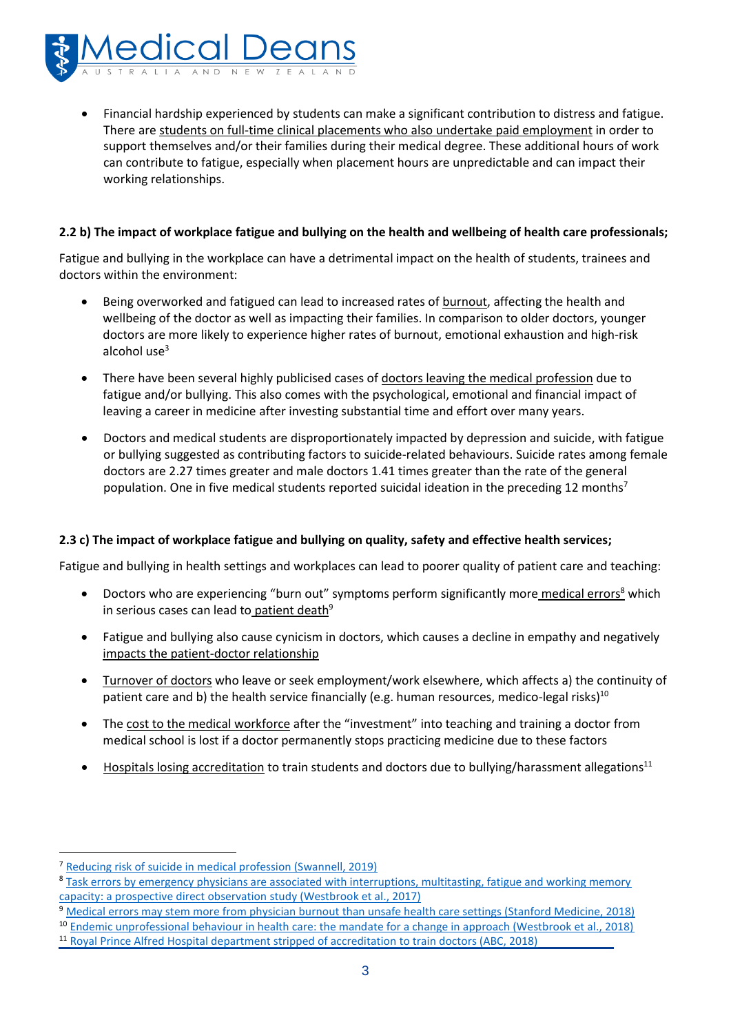

 Financial hardship experienced by students can make a significant contribution to distress and fatigue. There are students on full-time clinical placements who also undertake paid employment in order to support themselves and/or their families during their medical degree. These additional hours of work can contribute to fatigue, especially when placement hours are unpredictable and can impact their working relationships.

### **2.2 b) The impact of workplace fatigue and bullying on the health and wellbeing of health care professionals;**

Fatigue and bullying in the workplace can have a detrimental impact on the health of students, trainees and doctors within the environment:

- Being overworked and fatigued can lead to increased rates of burnout, affecting the health and wellbeing of the doctor as well as impacting their families. In comparison to older doctors, younger doctors are more likely to experience higher rates of burnout, emotional exhaustion and high-risk alcohol us[e](#page-1-0) $3$
- There have been several highly publicised cases of doctors leaving the medical profession due to fatigue and/or bullying. This also comes with the psychological, emotional and financial impact of leaving a career in medicine after investing substantial time and effort over many years.
- Doctors and medical students are disproportionately impacted by depression and suicide, with fatigue or bullying suggested as contributing factors to suicide-related behaviours. Suicide rates among female doctors are 2.27 times greater and male doctors 1.41 times greater than the rate of the general population. One in five medical students reported suicidal ideation in the preceding 12 months<sup>7</sup>

## **2.3 c) The impact of workplace fatigue and bullying on quality, safety and effective health services;**

Fatigue and bullying in health settings and workplaces can lead to poorer quality of patient care and teaching:

- Doctors who are experiencing "burn out" symptoms perform significantly more medical errors<sup>8</sup> which in serious cases can lead to patient death<sup>9</sup>
- Fatigue and bullying also cause cynicism in doctors, which causes a decline in empathy and negatively impacts the patient-doctor relationship
- Turnover of doctors who leave or seek employment/work elsewhere, which affects a) the continuity of patient care and b) the health service financially (e.g. human resources, medico-legal risks)<sup>10</sup>
- The cost to the medical workforce after the "investment" into teaching and training a doctor from medical school is lost if a doctor permanently stops practicing medicine due to these factors
- Hospitals losing accreditation to train students and doctors due to bullying/harassment allegations<sup>11</sup>

<sup>7</sup> [Reducing risk of suicide in medical profession \(Swannell, 2019\)](https://www.mja.com.au/journal/2018/reducing-risk-suicide-medical-profession)

<sup>8</sup> [Task errors by emergency physicians are associated with interruptions, multitasting, fatigue and working memory](https://qualitysafety.bmj.com/content/qhc/early/2018/01/19/bmjqs-2017-007333.full.pdf)  [capacity: a prospective direct observation study \(Westbrook et al., 2017\)](https://qualitysafety.bmj.com/content/qhc/early/2018/01/19/bmjqs-2017-007333.full.pdf)

<sup>&</sup>lt;sup>9</sup> [Medical errors may stem more from physician burnout than unsafe health care settings \(Stanford Medicine, 2018\)](http://med.stanford.edu/news/all-news/2018/07/medical-errors-may-stem-more-from-physician-burnout.html)

<sup>10</sup> [Endemic unprofessional behaviour in health care: the mandate for a change in approach \(Westbrook et al., 2018\)](https://www.mja.com.au/system/files/2018-10/10.5694mja17.01261.pdf)

<sup>11</sup> [Royal Prince Alfred Hospital department stripped of accreditation to train doctors \(ABC, 2018\)](https://www.abc.net.au/news/2018-11-02/sydney-hospital-department-loses-accreditation-to-train/10458744)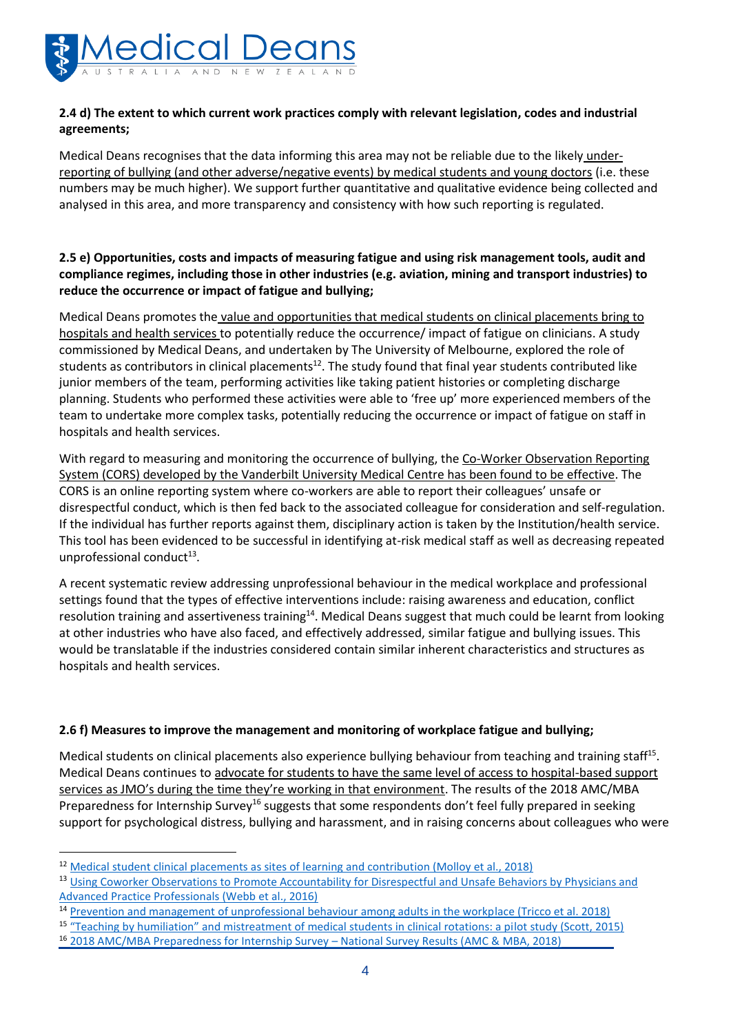

## **2.4 d) The extent to which current work practices comply with relevant legislation, codes and industrial agreements;**

Medical Deans recognises that the data informing this area may not be reliable due to the likely underreporting of bullying (and other adverse/negative events) by medical students and young doctors (i.e. these numbers may be much higher). We support further quantitative and qualitative evidence being collected and analysed in this area, and more transparency and consistency with how such reporting is regulated.

## **2.5 e) Opportunities, costs and impacts of measuring fatigue and using risk management tools, audit and compliance regimes, including those in other industries (e.g. aviation, mining and transport industries) to reduce the occurrence or impact of fatigue and bullying;**

Medical Deans promotes the value and opportunities that medical students on clinical placements bring to hospitals and health services to potentially reduce the occurrence/ impact of fatigue on clinicians. A study commissioned by Medical Deans, and undertaken by The University of Melbourne, explored the role of students as contributors in clinical placements<sup>12</sup>. The study found that final year students contributed like junior members of the team, performing activities like taking patient histories or completing discharge planning. Students who performed these activities were able to 'free up' more experienced members of the team to undertake more complex tasks, potentially reducing the occurrence or impact of fatigue on staff in hospitals and health services.

With regard to measuring and monitoring the occurrence of bullying, the Co-Worker Observation Reporting System (CORS) developed by the Vanderbilt University Medical Centre has been found to be effective. The CORS is an online reporting system where co-workers are able to report their colleagues' unsafe or disrespectful conduct, which is then fed back to the associated colleague for consideration and self-regulation. If the individual has further reports against them, disciplinary action is taken by the Institution/health service. This tool has been evidenced to be successful in identifying at-risk medical staff as well as decreasing repeated unprofessional conduct<sup>13</sup>.

A recent systematic review addressing unprofessional behaviour in the medical workplace and professional settings found that the types of effective interventions include: raising awareness and education, conflict resolution training and assertiveness training<sup>14</sup>. Medical Deans suggest that much could be learnt from looking at other industries who have also faced, and effectively addressed, similar fatigue and bullying issues. This would be translatable if the industries considered contain similar inherent characteristics and structures as hospitals and health services.

### **2.6 f) Measures to improve the management and monitoring of workplace fatigue and bullying;**

<span id="page-3-0"></span>Medical students on clinical placements also experience bullying behaviour from teaching and training staff<sup>15</sup>. Medical Deans continues to advocate for students to have the same level of access to hospital-based support services as JMO's during the time they're working in that environment. The results of the 2018 AMC/MBA Preparedness for Internship Survey<sup>16</sup> suggests that some respondents don't feel fully prepared in seeking support for psychological distress, bullying and harassment, and in raising concerns about colleagues who were

<sup>12</sup> [Medical student clinical placements as sites of learning and contribution \(Molloy et al., 2018\)](https://medicine.unimelb.edu.au/__data/assets/pdf_file/0017/2800115/MDANZ_Project_Report_April-2018.pdf)

<sup>13</sup> Using Coworker Observations to Promote Accountability for Disrespectful and Unsafe Behaviors by Physicians and [Advanced Practice Professionals \(Webb et al., 2016\)](https://cme.mc.vanderbilt.edu/sites/default/files/Using%20Coworker%20Observations-Webb%20et%20al%202016%20pub.pdf)

<sup>14</sup> [Prevention and management of unprofessional behaviour among adults in the workplace \(Tricco et al. 2018\)](https://journals.plos.org/plosone/article/file?id=10.1371/journal.pone.0201187&type=printable)

<sup>15</sup> ["Teaching by humiliation" and mistreatment of medical students in clinical rotations: a pi](https://www.mja.com.au/journal/2015/203/4/teaching-humiliation-and-mistreatment-medical-students-clinical-rotations-pilot)lot study (Scott, 2015)

<sup>16</sup> [2018 AMC/MBA Preparedness for Internship Survey](http://www.amc.org.au/wp-content/uploads/2019/04/Preparedness-for-Internship-Survey-National-survey-report-2018.pdf) – National Survey Results (AMC & MBA, 2018)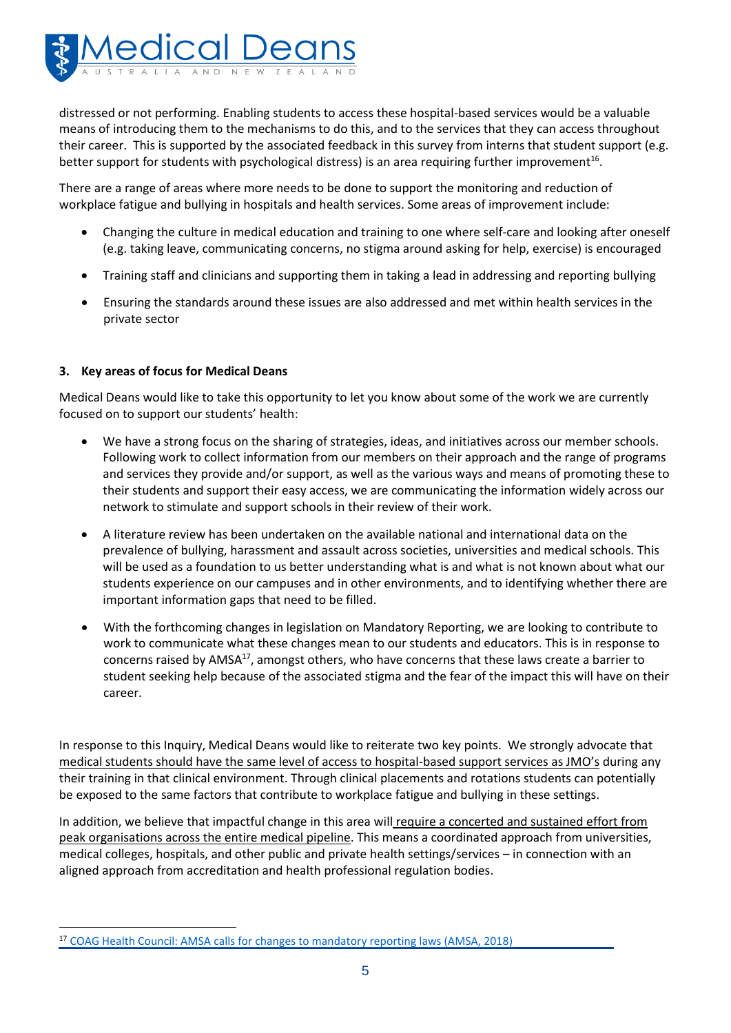

distressed or not performing. Enabling students to access these hospital-based services would be a valuable means of introducing them to the mechanisms to do this, and to the services that they can access throughout their career. This is supported by the associated feedback in this survey from interns that student support (e.g. better support for students with psychological distress) is an area requiring further improvement<sup>[16](#page-3-0)</sup>.

There are a range of areas where more needs to be done to support the monitoring and reduction of workplace fatigue and bullying in hospitals and health services. Some areas of improvement include:

- Changing the culture in medical education and training to one where self-care and looking after oneself (e.g. taking leave, communicating concerns, no stigma around asking for help, exercise) is encouraged
- Training staff and clinicians and supporting them in taking a lead in addressing and reporting bullying
- Ensuring the standards around these issues are also addressed and met within health services in the private sector

### **3. Key areas of focus for Medical Deans**

 $\overline{a}$ 

Medical Deans would like to take this opportunity to let you know about some of the work we are currently focused on to support our students' health:

- We have a strong focus on the sharing of strategies, ideas, and initiatives across our member schools. Following work to collect information from our members on their approach and the range of programs and services they provide and/or support, as well as the various ways and means of promoting these to their students and support their easy access, we are communicating the information widely across our network to stimulate and support schools in their review of their work.
- A literature review has been undertaken on the available national and international data on the prevalence of bullying, harassment and assault across societies, universities and medical schools. This will be used as a foundation to us better understanding what is and what is not known about what our students experience on our campuses and in other environments, and to identifying whether there are important information gaps that need to be filled.
- With the forthcoming changes in legislation on Mandatory Reporting, we are looking to contribute to work to communicate what these changes mean to our students and educators. This is in response to concerns raised by AMSA<sup>17</sup>, amongst others, who have concerns that these laws create a barrier to student seeking help because of the associated stigma and the fear of the impact this will have on their career.

In response to this Inquiry, Medical Deans would like to reiterate two key points. We strongly advocate that medical students should have the same level of access to hospital-based support services as JMO's during any their training in that clinical environment. Through clinical placements and rotations students can potentially be exposed to the same factors that contribute to workplace fatigue and bullying in these settings.

In addition, we believe that impactful change in this area will require a concerted and sustained effort from peak organisations across the entire medical pipeline. This means a coordinated approach from universities, medical colleges, hospitals, and other public and private health settings/services – in connection with an aligned approach from accreditation and health professional regulation bodies.

<sup>&</sup>lt;sup>17</sup> [COAG Health Council: AMSA calls for changes to mandatory reporting laws \(AMSA, 2018\)](https://www.amsa.org.au/blog/coag-health-council-amsa-calls-changes-mandatory-reporting-laws)